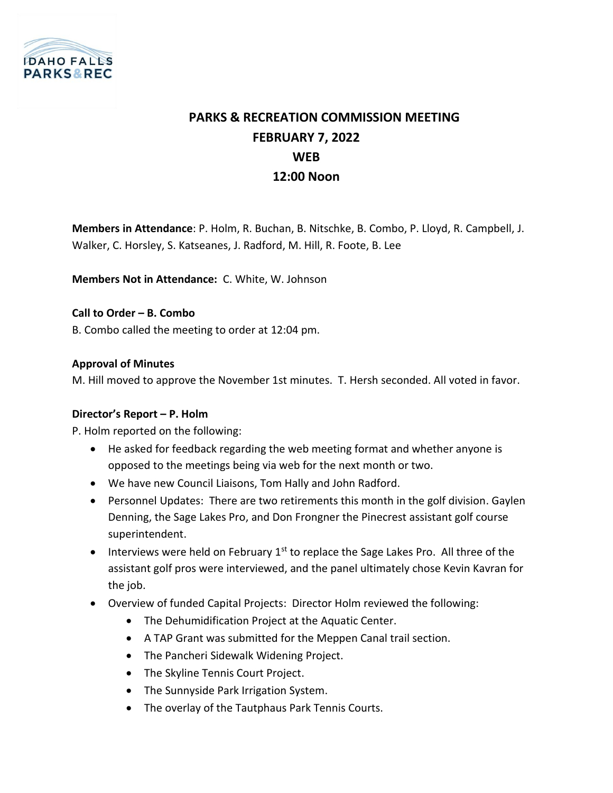

# **PARKS & RECREATION COMMISSION MEETING FEBRUARY 7, 2022 WEB 12:00 Noon**

**Members in Attendance**: P. Holm, R. Buchan, B. Nitschke, B. Combo, P. Lloyd, R. Campbell, J. Walker, C. Horsley, S. Katseanes, J. Radford, M. Hill, R. Foote, B. Lee

**Members Not in Attendance:** C. White, W. Johnson

**Call to Order – B. Combo** B. Combo called the meeting to order at 12:04 pm.

## **Approval of Minutes**

M. Hill moved to approve the November 1st minutes. T. Hersh seconded. All voted in favor.

#### **Director's Report – P. Holm**

P. Holm reported on the following:

- He asked for feedback regarding the web meeting format and whether anyone is opposed to the meetings being via web for the next month or two.
- We have new Council Liaisons, Tom Hally and John Radford.
- Personnel Updates: There are two retirements this month in the golf division. Gaylen Denning, the Sage Lakes Pro, and Don Frongner the Pinecrest assistant golf course superintendent.
- Interviews were held on February  $1<sup>st</sup>$  to replace the Sage Lakes Pro. All three of the assistant golf pros were interviewed, and the panel ultimately chose Kevin Kavran for the job.
- Overview of funded Capital Projects: Director Holm reviewed the following:
	- The Dehumidification Project at the Aquatic Center.
	- A TAP Grant was submitted for the Meppen Canal trail section.
	- The Pancheri Sidewalk Widening Project.
	- The Skyline Tennis Court Project.
	- The Sunnyside Park Irrigation System.
	- The overlay of the Tautphaus Park Tennis Courts.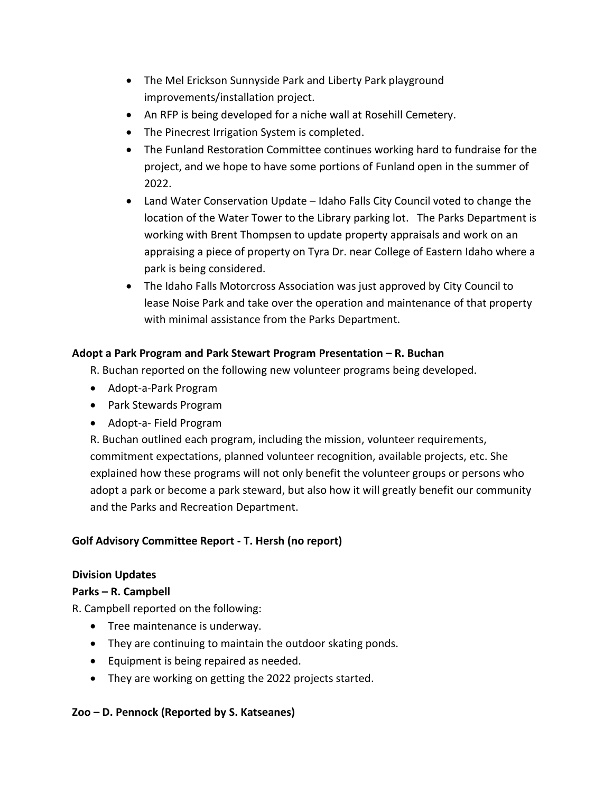- The Mel Erickson Sunnyside Park and Liberty Park playground improvements/installation project.
- An RFP is being developed for a niche wall at Rosehill Cemetery.
- The Pinecrest Irrigation System is completed.
- The Funland Restoration Committee continues working hard to fundraise for the project, and we hope to have some portions of Funland open in the summer of 2022.
- Land Water Conservation Update Idaho Falls City Council voted to change the location of the Water Tower to the Library parking lot. The Parks Department is working with Brent Thompsen to update property appraisals and work on an appraising a piece of property on Tyra Dr. near College of Eastern Idaho where a park is being considered.
- The Idaho Falls Motorcross Association was just approved by City Council to lease Noise Park and take over the operation and maintenance of that property with minimal assistance from the Parks Department.

# **Adopt a Park Program and Park Stewart Program Presentation – R. Buchan**

R. Buchan reported on the following new volunteer programs being developed.

- Adopt-a-Park Program
- Park Stewards Program
- Adopt-a- Field Program

R. Buchan outlined each program, including the mission, volunteer requirements, commitment expectations, planned volunteer recognition, available projects, etc. She explained how these programs will not only benefit the volunteer groups or persons who adopt a park or become a park steward, but also how it will greatly benefit our community and the Parks and Recreation Department.

#### **Golf Advisory Committee Report - T. Hersh (no report)**

#### **Division Updates**

#### **Parks – R. Campbell**

R. Campbell reported on the following:

- Tree maintenance is underway.
- They are continuing to maintain the outdoor skating ponds.
- Equipment is being repaired as needed.
- They are working on getting the 2022 projects started.

#### **Zoo – D. Pennock (Reported by S. Katseanes)**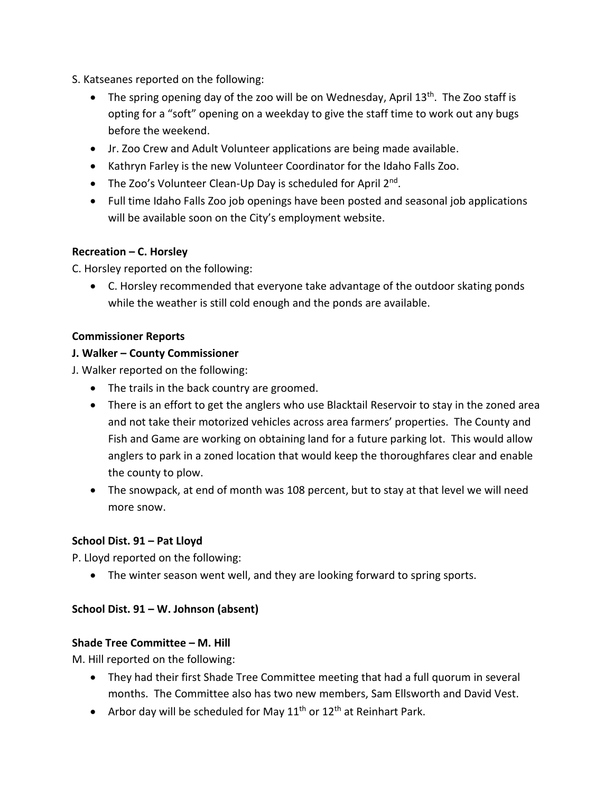- S. Katseanes reported on the following:
	- The spring opening day of the zoo will be on Wednesday, April 13<sup>th</sup>. The Zoo staff is opting for a "soft" opening on a weekday to give the staff time to work out any bugs before the weekend.
	- Jr. Zoo Crew and Adult Volunteer applications are being made available.
	- Kathryn Farley is the new Volunteer Coordinator for the Idaho Falls Zoo.
	- The Zoo's Volunteer Clean-Up Day is scheduled for April 2<sup>nd</sup>.
	- Full time Idaho Falls Zoo job openings have been posted and seasonal job applications will be available soon on the City's employment website.

## **Recreation – C. Horsley**

C. Horsley reported on the following:

• C. Horsley recommended that everyone take advantage of the outdoor skating ponds while the weather is still cold enough and the ponds are available.

## **Commissioner Reports**

#### **J. Walker – County Commissioner**

J. Walker reported on the following:

- The trails in the back country are groomed.
- There is an effort to get the anglers who use Blacktail Reservoir to stay in the zoned area and not take their motorized vehicles across area farmers' properties. The County and Fish and Game are working on obtaining land for a future parking lot. This would allow anglers to park in a zoned location that would keep the thoroughfares clear and enable the county to plow.
- The snowpack, at end of month was 108 percent, but to stay at that level we will need more snow.

# **School Dist. 91 – Pat Lloyd**

P. Lloyd reported on the following:

• The winter season went well, and they are looking forward to spring sports.

# **School Dist. 91 – W. Johnson (absent)**

#### **Shade Tree Committee – M. Hill**

M. Hill reported on the following:

- They had their first Shade Tree Committee meeting that had a full quorum in several months. The Committee also has two new members, Sam Ellsworth and David Vest.
- Arbor day will be scheduled for May  $11<sup>th</sup>$  or  $12<sup>th</sup>$  at Reinhart Park.